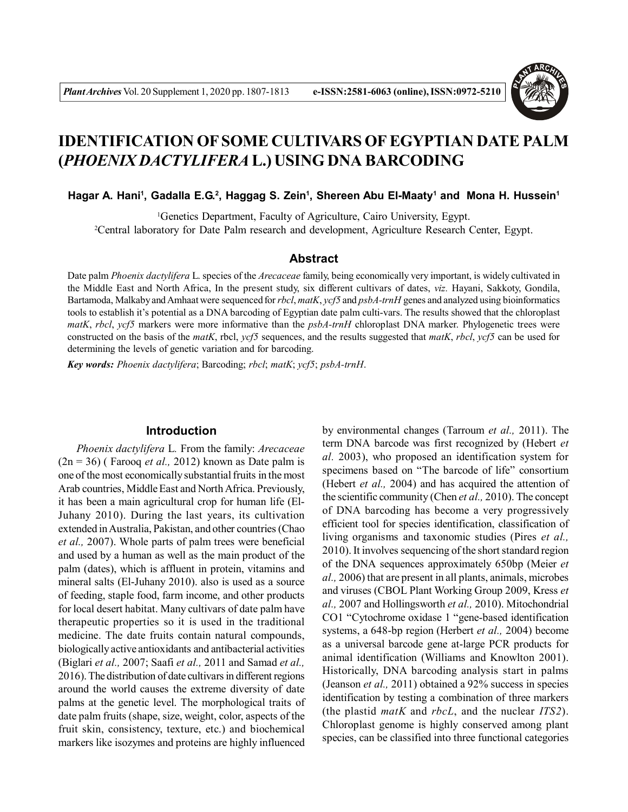

# **IDENTIFICATION OF SOME CULTIVARS OF EGYPTIAN DATE PALM (***PHOENIX DACTYLIFERA* **L.) USING DNA BARCODING**

#### **Hagar A. Hani<sup>1</sup> , Gadalla E.G.<sup>2</sup> , Haggag S. Zein<sup>1</sup> , Shereen Abu El-Maaty<sup>1</sup> and Mona H. Hussein<sup>1</sup>**

<sup>1</sup>Genetics Department, Faculty of Agriculture, Cairo University, Egypt.

<sup>2</sup>Central laboratory for Date Palm research and development, Agriculture Research Center, Egypt.

#### **Abstract**

Date palm *Phoenix dactylifera* L. species of the *Arecaceae* family, being economically very important, is widely cultivated in the Middle East and North Africa, In the present study, six different cultivars of dates, *viz.* Hayani, Sakkoty, Gondila, Bartamoda, Malkaby and Amhaat were sequenced for *rbcl*, *matK*, *ycf5* and *psbA-trnH* genes and analyzed using bioinformatics tools to establish it's potential as a DNA barcoding of Egyptian date palm culti-vars. The results showed that the chloroplast *matK*, *rbcl*, *ycf5* markers were more informative than the *psbA-trnH* chloroplast DNA marker. Phylogenetic trees were constructed on the basis of the *matK*, rbcl, *ycf5* sequences, and the results suggested that *matK*, *rbcl*, *ycf5* can be used for determining the levels of genetic variation and for barcoding.

*Key words: Phoenix dactylifera*; Barcoding; *rbcl*; *matK*; *ycf5*; *psbA-trnH*.

#### **Introduction**

*Phoenix dactylifera* L*.* From the family: *Arecaceae*  $(2n = 36)$  (Farooq *et al.,* 2012) known as Date palm is one of the most economically substantial fruits in the most Arab countries, Middle East and North Africa. Previously, it has been a main agricultural crop for human life (El-Juhany 2010). During the last years, its cultivation extended in Australia, Pakistan, and other countries (Chao *et al.,* 2007). Whole parts of palm trees were beneficial and used by a human as well as the main product of the palm (dates), which is affluent in protein, vitamins and mineral salts (El-Juhany 2010). also is used as a source of feeding, staple food, farm income, and other products for local desert habitat. Many cultivars of date palm have therapeutic properties so it is used in the traditional medicine. The date fruits contain natural compounds, biologically active antioxidants and antibacterial activities (Biglari *et al.,* 2007; Saafi *et al.,* 2011 and Samad *et al.,* 2016). The distribution of date cultivars in different regions around the world causes the extreme diversity of date palms at the genetic level. The morphological traits of date palm fruits (shape, size, weight, color, aspects of the fruit skin, consistency, texture, etc.) and biochemical markers like isozymes and proteins are highly influenced

by environmental changes (Tarroum *et al.,* 2011). The term DNA barcode was first recognized by (Hebert *et al.* 2003), who proposed an identification system for specimens based on "The barcode of life" consortium (Hebert *et al.,* 2004) and has acquired the attention of the scientific community (Chen *et al.,* 2010). The concept of DNA barcoding has become a very progressively efficient tool for species identification, classification of living organisms and taxonomic studies (Pires *et al.,* 2010). It involves sequencing of the short standard region of the DNA sequences approximately 650bp (Meier *et al.,* 2006) that are present in all plants, animals, microbes and viruses (CBOL Plant Working Group 2009, Kress *et al.,* 2007 and Hollingsworth *et al.,* 2010). Mitochondrial CO1 "Cytochrome oxidase 1 "gene-based identification systems, a 648-bp region (Herbert *et al.,* 2004) become as a universal barcode gene at-large PCR products for animal identification (Williams and Knowlton 2001). Historically, DNA barcoding analysis start in palms (Jeanson *et al.,* 2011) obtained a 92% success in species identification by testing a combination of three markers (the plastid *matK* and *rbcL*, and the nuclear *ITS2*). Chloroplast genome is highly conserved among plant species, can be classified into three functional categories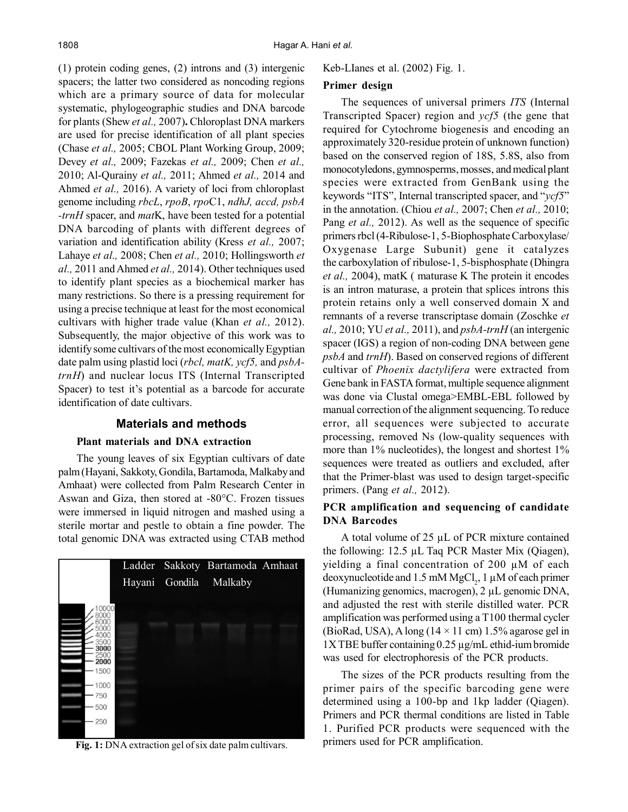(1) protein coding genes, (2) introns and (3) intergenic spacers; the latter two considered as noncoding regions which are a primary source of data for molecular systematic, phylogeographic studies and DNA barcode for plants (Shew *et al.,* 2007)**.** Chloroplast DNA markers are used for precise identification of all plant species (Chase *et al.,* 2005; CBOL Plant Working Group, 2009; Devey *et al.,* 2009; Fazekas *et al.,* 2009; Chen *et al.,* 2010; Al-Qurainy *et al.,* 2011; Ahmed *et al.,* 2014 and Ahmed *et al.,* 2016). A variety of loci from chloroplast genome including *rbcL*, *rpoB*, *rpo*C1, *ndhJ, accd, psbA -trnH* spacer, and *mat*K, have been tested for a potential DNA barcoding of plants with different degrees of variation and identification ability (Kress *et al.,* 2007; Lahaye *et al.,* 2008; Chen *et al.,* 2010; Hollingsworth *et al.,* 2011 and Ahmed *et al.,* 2014). Other techniques used to identify plant species as a biochemical marker has many restrictions. So there is a pressing requirement for using a precise technique at least for the most economical cultivars with higher trade value (Khan *et al.,* 2012). Subsequently, the major objective of this work was to identify some cultivars of the most economically Egyptian date palm using plastid loci (*rbcl, matK, ycf5,* and *psbAtrnH*) and nuclear locus ITS (Internal Transcripted Spacer) to test it's potential as a barcode for accurate identification of date cultivars.

## **Materials and methods**

## **Plant materials and DNA extraction**

The young leaves of six Egyptian cultivars of date palm (Hayani, Sakkoty, Gondila, Bartamoda, Malkaby and Amhaat) were collected from Palm Research Center in Aswan and Giza, then stored at -80°C. Frozen tissues were immersed in liquid nitrogen and mashed using a sterile mortar and pestle to obtain a fine powder. The total genomic DNA was extracted using CTAB method



**Fig. 1:** DNA extraction gel of six date palm cultivars.

Keb-LIanes et al. (2002) Fig. 1.

## **Primer design**

The sequences of universal primers *ITS* (Internal Transcripted Spacer) region and *ycf5* (the gene that required for Cytochrome biogenesis and encoding an approximately 320-residue protein of unknown function) based on the conserved region of 18S, 5.8S, also from monocotyledons, gymnosperms, mosses, and medical plant species were extracted from GenBank using the keywords "ITS", Internal transcripted spacer, and "*ycf5*" in the annotation. (Chiou *et al.,* 2007; Chen *et al.,* 2010; Pang *et al.,* 2012). As well as the sequence of specific primers rbcl (4-Ribulose-1, 5-Biophosphate Carboxylase/ Oxygenase Large Subunit) gene it catalyzes the carboxylation of ribulose-1, 5-bisphosphate (Dhingra *et al.,* 2004), matK ( maturase K The protein it encodes is an intron maturase, a protein that splices introns this protein retains only a well conserved domain X and remnants of a reverse transcriptase domain (Zoschke *et al.,* 2010; YU *et al.,* 2011), and *psbA-trnH* (an intergenic spacer (IGS) a region of non-coding DNA between gene *psbA* and *trnH*). Based on conserved regions of different cultivar of *Phoenix dactylifera* were extracted from Gene bank in FASTA format, multiple sequence alignment was done via Clustal omega>EMBL-EBL followed by manual correction of the alignment sequencing.To reduce error, all sequences were subjected to accurate processing, removed Ns (low-quality sequences with more than 1% nucleotides), the longest and shortest 1% sequences were treated as outliers and excluded, after that the Primer-blast was used to design target-specific primers. (Pang *et al.,* 2012).

# **PCR amplification and sequencing of candidate DNA Barcodes**

A total volume of 25 µL of PCR mixture contained the following: 12.5 µL Taq PCR Master Mix (Qiagen), yielding a final concentration of 200 µM of each deoxynucleotide and 1.5 mM MgCl<sub>2</sub>, 1  $\mu$ M of each primer (Humanizing genomics, macrogen), 2 µL genomic DNA, and adjusted the rest with sterile distilled water. PCR amplification was performed using a T100 thermal cycler (BioRad, USA), A long ( $14 \times 11$  cm) 1.5% agarose gel in  $1X$  TBE buffer containing 0.25  $\mu$ g/mL ethid-ium bromide was used for electrophoresis of the PCR products.

The sizes of the PCR products resulting from the primer pairs of the specific barcoding gene were determined using a 100-bp and 1kp ladder (Qiagen). Primers and PCR thermal conditions are listed in Table 1. Purified PCR products were sequenced with the primers used for PCR amplification.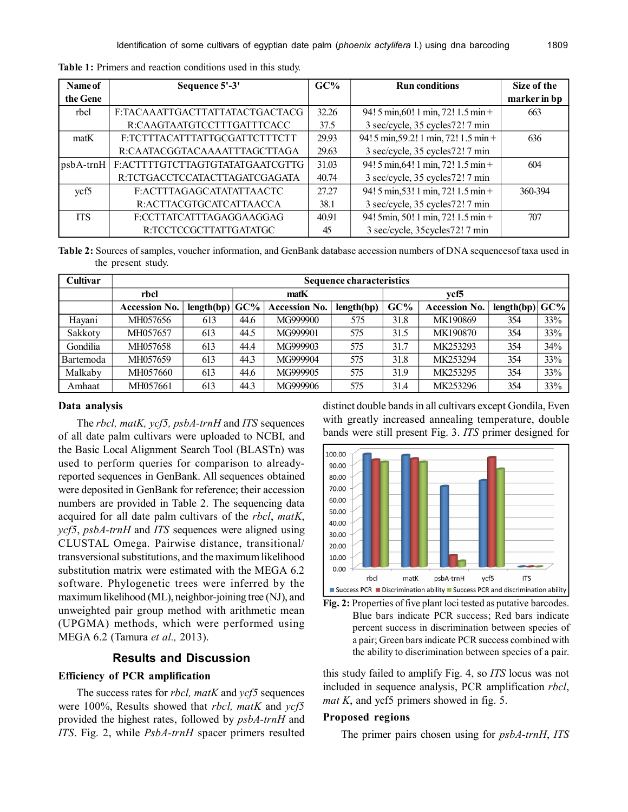| Name of      | Sequence 5'-3'                   | $GC\%$ | <b>Run conditions</b>                 | Size of the  |
|--------------|----------------------------------|--------|---------------------------------------|--------------|
| the Gene     |                                  |        |                                       | marker in bp |
| rbcl         | F:TACAAATTGACTTATTATACTGACTACG   | 32.26  | 94! 5 min, 60! 1 min, 72! 1.5 min +   | 663          |
|              | R:CAAGTAATGTCCTTTGATTTCACC       | 37.5   | 3 sec/cycle, 35 cycles72! 7 min       |              |
| matK         | F:TCTTTACATTTATTGCGATTCTTTCTT    | 29.93  | 94! 5 min, 59.2! 1 min, 72! 1.5 min + | 636          |
|              | R:CAATACGGTACAAAATTTAGCTTAGA     | 29.63  | 3 sec/cycle, 35 cycles72! 7 min       |              |
| $ psbA-trnH$ | E: ACTTTTGTCTTAGTGTATATGAATCGTTG | 31.03  | 94! 5 min, 64! 1 min, 72! 1.5 min +   | 604          |
|              | R:TCTGACCTCCATACTTAGATCGAGATA    | 40.74  | 3 sec/cycle, 35 cycles72! 7 min       |              |
| ycf5         | F:ACTTTAGAGCATATATTAACTC         | 27.27  | 94! 5 min, 53! 1 min, 72! 1.5 min +   | 360-394      |
|              | R:ACTTACGTGCATCATTAACCA          | 38.1   | 3 sec/cycle, 35 cycles72! 7 min       |              |
| <b>ITS</b>   | F:CCTTATCATTTAGAGGAAGGAG         | 40.91  | 94! 5min, 50! 1 min, 72! 1.5 min +    | 707          |
|              | R:TCCTCCGCTTATTGATATGC           | 45     | 3 sec/cycle, 35 cycles 72! 7 min      |              |

**Table 1:** Primers and reaction conditions used in this study.

**Table 2:** Sources of samples, voucher information, and GenBank database accession numbers of DNA sequencesof taxa used in the present study.

| Cultivar  | <b>Sequence characteristics</b> |            |        |                      |            |        |                      |            |     |
|-----------|---------------------------------|------------|--------|----------------------|------------|--------|----------------------|------------|-----|
|           | rbcl                            |            | matK   |                      | ycf5       |        |                      |            |     |
|           | <b>Accession No.</b>            | length(bp) | $GC\%$ | <b>Accession No.</b> | length(bp) | $GC\%$ | <b>Accession No.</b> | length(bp) | GC% |
| Hayani    | MH057656                        | 613        | 44.6   | MG999900             | 575        | 31.8   | MK190869             | 354        | 33% |
| Sakkoty   | MH057657                        | 613        | 44.5   | MG999901             | 575        | 31.5   | MK190870             | 354        | 33% |
| Gondilia  | MH057658                        | 613        | 44.4   | MG999903             | 575        | 31.7   | MK253293             | 354        | 34% |
| Bartemoda | MH057659                        | 613        | 44.3   | MG999904             | 575        | 31.8   | MK253294             | 354        | 33% |
| Malkaby   | MH057660                        | 613        | 44.6   | MG999905             | 575        | 31.9   | MK253295             | 354        | 33% |
| Amhaat    | MH057661                        | 613        | 44.3   | MG999906             | 575        | 31.4   | MK253296             | 354        | 33% |

#### **Data analysis**

The *rbcl, matK, ycf5, psbA-trnH* and *ITS* sequences of all date palm cultivars were uploaded to NCBI, and the Basic Local Alignment Search Tool (BLASTn) was used to perform queries for comparison to alreadyreported sequences in GenBank. All sequences obtained were deposited in GenBank for reference; their accession numbers are provided in Table 2. The sequencing data acquired for all date palm cultivars of the *rbcl*, *matK*, *ycf5*, *psbA-trnH* and *ITS* sequences were aligned using CLUSTAL Omega. Pairwise distance, transitional/ transversional substitutions, and the maximum likelihood substitution matrix were estimated with the MEGA 6.2 software. Phylogenetic trees were inferred by the maximum likelihood (ML), neighbor-joining tree (NJ), and unweighted pair group method with arithmetic mean (UPGMA) methods, which were performed using MEGA 6.2 (Tamura *et al.,* 2013).

#### **Results and Discussion**

## **Efficiency of PCR amplification**

The success rates for *rbcl, matK* and *ycf5* sequences were 100%, Results showed that *rbcl, matK* and *ycf5* provided the highest rates, followed by *psbA-trnH* and *ITS*. Fig. 2, while *PsbA-trnH* spacer primers resulted distinct double bands in all cultivars except Gondila, Even with greatly increased annealing temperature, double bands were still present Fig. 3. *ITS* primer designed for





this study failed to amplify Fig. 4, so *ITS* locus was not included in sequence analysis, PCR amplification *rbcl*, *mat K*, and ycf5 primers showed in fig. 5.

#### **Proposed regions**

The primer pairs chosen using for *psbA-trnH*, *ITS*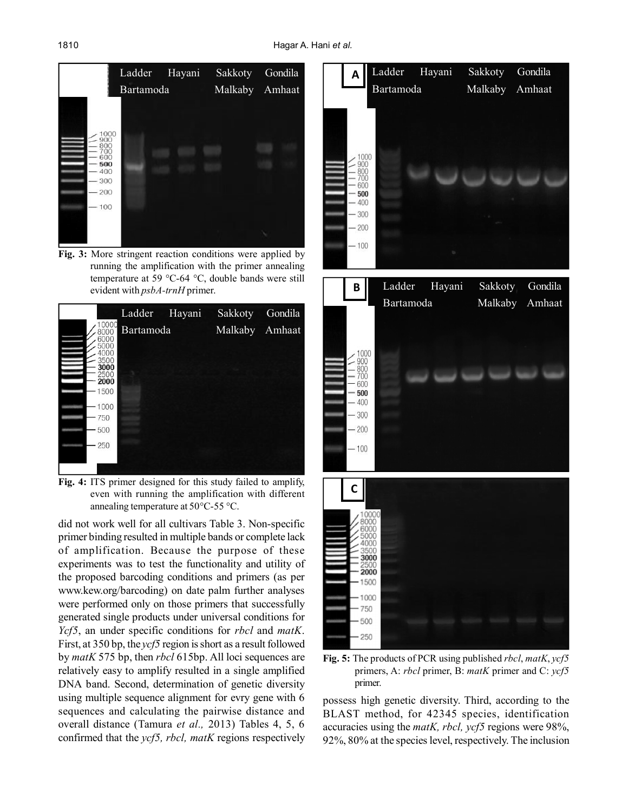

**Fig. 3:** More stringent reaction conditions were applied by running the amplification with the primer annealing temperature at 59 °C-64 °C, double bands were still evident with *psbA-trnH* primer.



**Fig. 4:** ITS primer designed for this study failed to amplify, even with running the amplification with different annealing temperature at 50°C-55 °C.

did not work well for all cultivars Table 3. Non-specific primer binding resulted in multiple bands or complete lack of amplification. Because the purpose of these experiments was to test the functionality and utility of the proposed barcoding conditions and primers (as per www.kew.org/barcoding) on date palm further analyses were performed only on those primers that successfully generated single products under universal conditions for *Ycf5*, an under specific conditions for *rbcl* and *matK*. First, at 350 bp, the *ycf5* region is short as a result followed by *matK* 575 bp, then *rbcl* 615bp. All loci sequences are relatively easy to amplify resulted in a single amplified DNA band. Second, determination of genetic diversity using multiple sequence alignment for evry gene with 6 sequences and calculating the pairwise distance and overall distance (Tamura *et al.,* 2013) Tables 4, 5, 6 confirmed that the *ycf5, rbcl, matK* regions respectively



**Fig. 5:** The products of PCR using published *rbcl*, *matK*, *ycf5* primers, A: *rbcl* primer, B: *matK* primer and C: *ycf5* primer.

possess high genetic diversity. Third, according to the BLAST method, for 42345 species, identification accuracies using the *matK, rbcl, ycf5* regions were 98%, 92%, 80% at the species level, respectively. The inclusion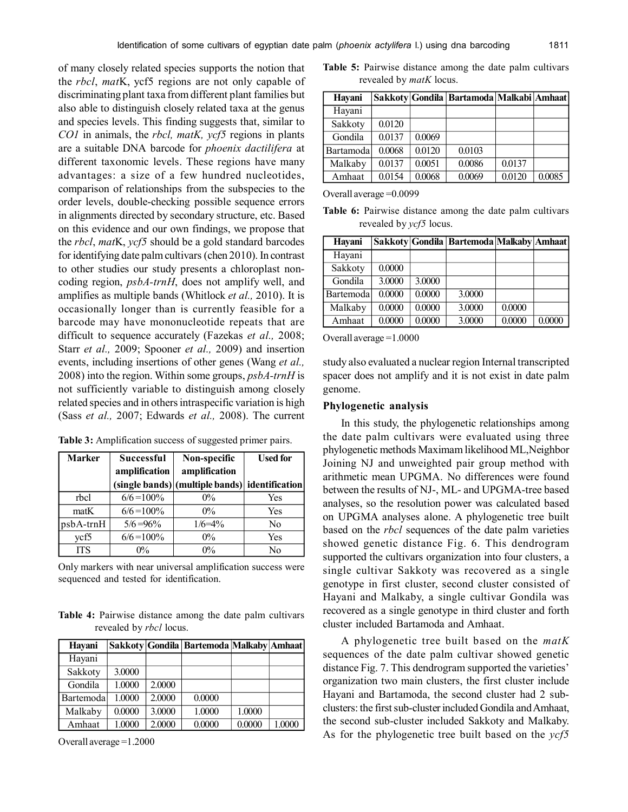of many closely related species supports the notion that the *rbcl*, *mat*K, ycf5 regions are not only capable of discriminating plant taxa from different plant families but also able to distinguish closely related taxa at the genus and species levels. This finding suggests that, similar to *CO1* in animals, the *rbcl, matK, ycf5* regions in plants are a suitable DNA barcode for *phoenix dactilifera* at different taxonomic levels. These regions have many advantages: a size of a few hundred nucleotides, comparison of relationships from the subspecies to the order levels, double-checking possible sequence errors in alignments directed by secondary structure, etc. Based on this evidence and our own findings, we propose that the *rbcl*, *mat*K, *ycf5* should be a gold standard barcodes for identifying date palm cultivars (chen 2010). In contrast to other studies our study presents a chloroplast noncoding region, *psbA-trnH*, does not amplify well, and amplifies as multiple bands (Whitlock *et al.,* 2010). It is occasionally longer than is currently feasible for a barcode may have mononucleotide repeats that are difficult to sequence accurately (Fazekas *et al.,* 2008; Starr *et al.,* 2009; Spooner *et al.,* 2009) and insertion events, including insertions of other genes (Wang *et al.,* 2008) into the region. Within some groups, *psbA-trnH* is not sufficiently variable to distinguish among closely related species and in others intraspecific variation is high (Sass *et al.,* 2007; Edwards *et al.,* 2008). The current

**Table 3:** Amplification success of suggested primer pairs.

| <b>Marker</b> | <b>Successful</b> | Non-specific                                   | <b>Used for</b> |  |
|---------------|-------------------|------------------------------------------------|-----------------|--|
|               | amplification     | amplification                                  |                 |  |
|               |                   | (single bands) (multiple bands) identification |                 |  |
| rbcl          | $6/6 = 100\%$     | $0\%$                                          | Yes             |  |
| matK          | $6/6 = 100\%$     | $0\%$                                          | Yes             |  |
| psbA-trnH     | $5/6 = 96\%$      | $1/6 = 4\%$                                    | No              |  |
| vcf5          | $6/6 = 100\%$     | $0\%$                                          | Yes             |  |
| <b>ITS</b>    | $0\%$             | $0\%$                                          | No              |  |

Only markers with near universal amplification success were sequenced and tested for identification.

**Table 4:** Pairwise distance among the date palm cultivars revealed by *rbcl* locus.

| Hayani    |        |        | Sakkoty   Gondila   Bartemoda   Malkaby   Amhaat |        |        |
|-----------|--------|--------|--------------------------------------------------|--------|--------|
| Hayani    |        |        |                                                  |        |        |
| Sakkoty   | 3.0000 |        |                                                  |        |        |
| Gondila   | 1.0000 | 2.0000 |                                                  |        |        |
| Bartemoda | 1.0000 | 2.0000 | 0.0000                                           |        |        |
| Malkaby   | 0.0000 | 3.0000 | 1.0000                                           | 1.0000 |        |
| Amhaat    | 1.0000 | 2.0000 | 0.0000                                           | 0.0000 | 1.0000 |

Overall average =1.2000

**Table 5:** Pairwise distance among the date palm cultivars revealed by *matK* locus.

| Hayani    |        |        | Sakkoty Gondila   Bartamoda   Malkabi   Amhaat |        |        |
|-----------|--------|--------|------------------------------------------------|--------|--------|
| Hayani    |        |        |                                                |        |        |
| Sakkoty   | 0.0120 |        |                                                |        |        |
| Gondila   | 0.0137 | 0.0069 |                                                |        |        |
| Bartamoda | 0.0068 | 0.0120 | 0.0103                                         |        |        |
| Malkaby   | 0.0137 | 0.0051 | 0.0086                                         | 0.0137 |        |
| Amhaat    | 0.0154 | 0.0068 | 0.0069                                         | 0.0120 | 0.0085 |

Overall average =0.0099

**Table 6:** Pairwise distance among the date palm cultivars revealed by *ycf5* locus.

| Hayani    |        |        | Sakkoty Gondila Bartemoda Malkaby Amhaat |        |        |
|-----------|--------|--------|------------------------------------------|--------|--------|
| Hayani    |        |        |                                          |        |        |
| Sakkoty   | 0.0000 |        |                                          |        |        |
| Gondila   | 3.0000 | 3.0000 |                                          |        |        |
| Bartemoda | 0.0000 | 0.0000 | 3.0000                                   |        |        |
| Malkaby   | 0.0000 | 0.0000 | 3.0000                                   | 0.0000 |        |
| Amhaat    | 0.0000 | 0.0000 | 3.0000                                   | 0.0000 | 0.0000 |

Overall average =1.0000

study also evaluated a nuclear region Internal transcripted spacer does not amplify and it is not exist in date palm genome.

#### **Phylogenetic analysis**

In this study, the phylogenetic relationships among the date palm cultivars were evaluated using three phylogenetic methods Maximam likelihood ML,Neighbor Joining NJ and unweighted pair group method with arithmetic mean UPGMA. No differences were found between the results of NJ-, ML- and UPGMA-tree based analyses, so the resolution power was calculated based on UPGMA analyses alone. A phylogenetic tree built based on the *rbcl* sequences of the date palm varieties showed genetic distance Fig. 6. This dendrogram supported the cultivars organization into four clusters, a single cultivar Sakkoty was recovered as a single genotype in first cluster, second cluster consisted of Hayani and Malkaby, a single cultivar Gondila was recovered as a single genotype in third cluster and forth cluster included Bartamoda and Amhaat.

A phylogenetic tree built based on the *matK* sequences of the date palm cultivar showed genetic distance Fig. 7. This dendrogram supported the varieties' organization two main clusters, the first cluster include Hayani and Bartamoda, the second cluster had 2 subclusters: the first sub-cluster included Gondila and Amhaat, the second sub-cluster included Sakkoty and Malkaby. As for the phylogenetic tree built based on the *ycf5*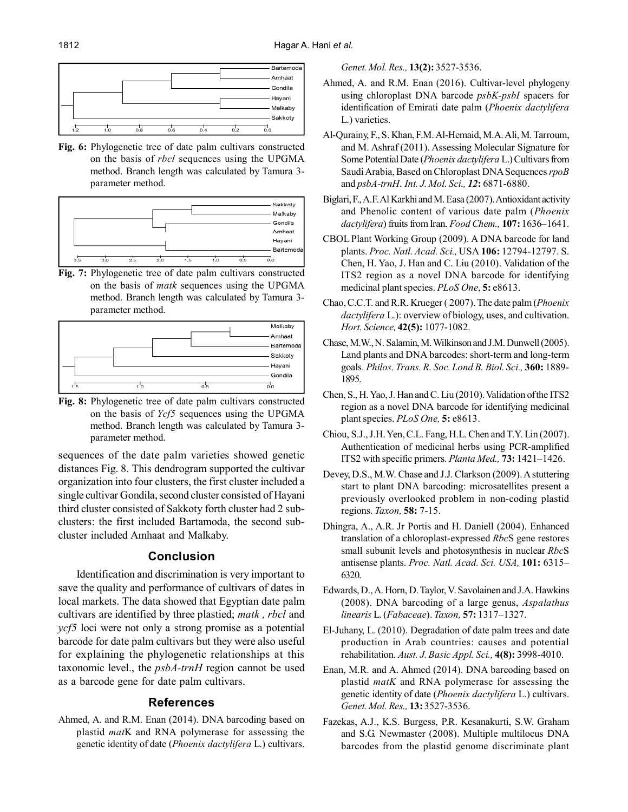

**Fig. 6:** Phylogenetic tree of date palm cultivars constructed on the basis of *rbcl* sequences using the UPGMA method. Branch length was calculated by Tamura 3 parameter method.



**Fig. 7:** Phylogenetic tree of date palm cultivars constructed on the basis of *matk* sequences using the UPGMA method. Branch length was calculated by Tamura 3 parameter method.



**Fig. 8:** Phylogenetic tree of date palm cultivars constructed on the basis of *Ycf5* sequences using the UPGMA method. Branch length was calculated by Tamura 3 parameter method.

sequences of the date palm varieties showed genetic distances Fig. 8. This dendrogram supported the cultivar organization into four clusters, the first cluster included a single cultivar Gondila, second cluster consisted of Hayani third cluster consisted of Sakkoty forth cluster had 2 subclusters: the first included Bartamoda, the second subcluster included Amhaat and Malkaby.

# **Conclusion**

Identification and discrimination is very important to save the quality and performance of cultivars of dates in local markets. The data showed that Egyptian date palm cultivars are identified by three plastied; *matk , rbcl* and *ycf5* loci were not only a strong promise as a potential barcode for date palm cultivars but they were also useful for explaining the phylogenetic relationships at this taxonomic level., the *psbA-trnH* region cannot be used as a barcode gene for date palm cultivars.

# **References**

Ahmed, A. and R.M. Enan (2014). DNA barcoding based on plastid *mat*K and RNA polymerase for assessing the genetic identity of date (*Phoenix dactylifera* L.) cultivars.

*Genet. Mol. Res.,* **13(2):** 3527-3536.

- Ahmed, A. and R.M. Enan (2016). Cultivar-level phylogeny using chloroplast DNA barcode *psbK-psbI* spacers for identification of Emirati date palm (*Phoenix dactylifera* L.) varieties.
- Al-Qurainy, F., S. Khan, F.M. Al-Hemaid, M.A. Ali, M. Tarroum, and M. Ashraf (2011). Assessing Molecular Signature for Some Potential Date (*Phoenix dactylifera* L.) Cultivars from Saudi Arabia, Based on Chloroplast DNA Sequences *rpoB* and *psbA-trnH*. *Int. J. Mol. Sci., 12***:** 6871-6880.
- Biglari, F., A.F. Al Karkhi and M. Easa (2007). Antioxidant activity and Phenolic content of various date palm (*Phoenix dactylifera*) fruits from Iran. *Food Chem.,* **107:** 1636–1641.
- CBOL Plant Working Group (2009). A DNA barcode for land plants. *Proc. Natl. Acad. Sci.,* USA **106:** 12794-12797. S. Chen, H. Yao, J. Han and C. Liu (2010). Validation of the ITS2 region as a novel DNA barcode for identifying medicinal plant species. *PLoS One*, **5:** e8613.
- Chao, C.C.T. and R.R. Krueger ( 2007). The date palm (*Phoenix dactylifera* L.): overview of biology, uses, and cultivation. *Hort. Science,* **42(5):** 1077-1082.
- Chase, M.W., N. Salamin, M. Wilkinson and J.M. Dunwell (2005). Land plants and DNA barcodes: short-term and long-term goals. *Philos. Trans. R. Soc. Lond B. Biol. Sci.,* **360:** 1889- 1895.
- Chen, S., H. Yao, J. Han and C. Liu (2010). Validation of the ITS2 region as a novel DNA barcode for identifying medicinal plant species. *PLoS One,* **5:** e8613.
- Chiou, S.J., J.H. Yen, C.L. Fang, H.L. Chen and T.Y. Lin (2007). Authentication of medicinal herbs using PCR-amplified ITS2 with specific primers. *Planta Med.,* **73:** 1421–1426.
- Devey, D.S., M.W. Chase and J.J. Clarkson (2009). A stuttering start to plant DNA barcoding: microsatellites present a previously overlooked problem in non-coding plastid regions. *Taxon,* **58:** 7-15.
- Dhingra, A., A.R. Jr Portis and H. Daniell (2004). Enhanced translation of a chloroplast-expressed *Rbc*S gene restores small subunit levels and photosynthesis in nuclear *Rbc*S antisense plants. *Proc. Natl. Acad. Sci. USA,* **101:** 6315– 6320.
- Edwards, D., A. Horn, D. Taylor, V. Savolainen and J.A. Hawkins (2008). DNA barcoding of a large genus, *Aspalathus linearis* L. (*Fabaceae*). *Taxon,* **57:** 1317–1327.
- El-Juhany, L. (2010). Degradation of date palm trees and date production in Arab countries: causes and potential rehabilitation. *Aust. J. Basic Appl. Sci.,* **4(8):** 3998-4010.
- Enan, M.R. and A. Ahmed (2014). DNA barcoding based on plastid *matK* and RNA polymerase for assessing the genetic identity of date (*Phoenix dactylifera* L.) cultivars. *Genet. Mol. Res.,* **13:** 3527-3536.
- Fazekas, A.J., K.S. Burgess, P.R. Kesanakurti, S.W. Graham and S.G. Newmaster (2008). Multiple multilocus DNA barcodes from the plastid genome discriminate plant